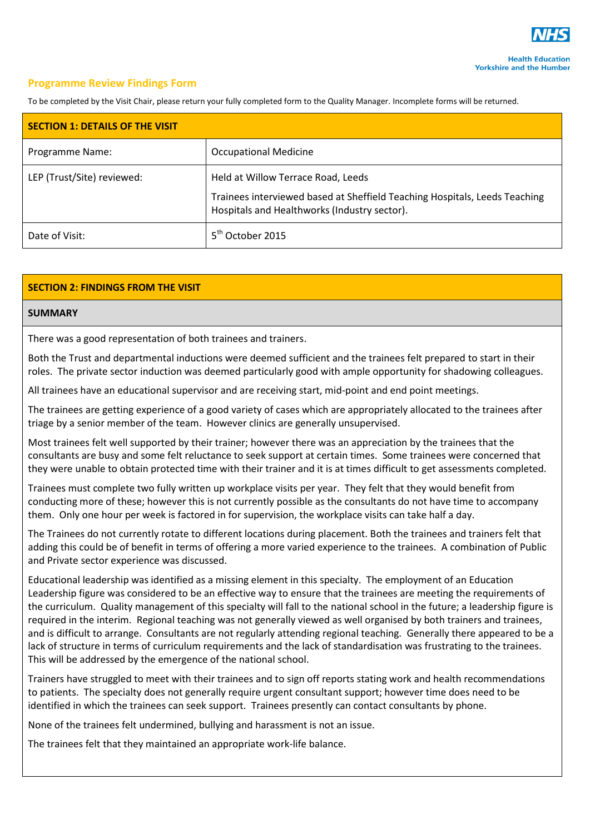

## **Programme Review Findings Form**

To be completed by the Visit Chair, please return your fully completed form to the Quality Manager. Incomplete forms will be returned.

| <b>SECTION 1: DETAILS OF THE VISIT</b> |                                                                                                                                                                  |
|----------------------------------------|------------------------------------------------------------------------------------------------------------------------------------------------------------------|
| Programme Name:                        | <b>Occupational Medicine</b>                                                                                                                                     |
| LEP (Trust/Site) reviewed:             | Held at Willow Terrace Road, Leeds<br>Trainees interviewed based at Sheffield Teaching Hospitals, Leeds Teaching<br>Hospitals and Healthworks (Industry sector). |
| Date of Visit:                         | 5 <sup>th</sup> October 2015                                                                                                                                     |

## **SECTION 2: FINDINGS FROM THE VISIT**

## **SUMMARY**

There was a good representation of both trainees and trainers.

Both the Trust and departmental inductions were deemed sufficient and the trainees felt prepared to start in their roles. The private sector induction was deemed particularly good with ample opportunity for shadowing colleagues.

All trainees have an educational supervisor and are receiving start, mid-point and end point meetings.

The trainees are getting experience of a good variety of cases which are appropriately allocated to the trainees after triage by a senior member of the team. However clinics are generally unsupervised.

Most trainees felt well supported by their trainer; however there was an appreciation by the trainees that the consultants are busy and some felt reluctance to seek support at certain times. Some trainees were concerned that they were unable to obtain protected time with their trainer and it is at times difficult to get assessments completed.

Trainees must complete two fully written up workplace visits per year. They felt that they would benefit from conducting more of these; however this is not currently possible as the consultants do not have time to accompany them. Only one hour per week is factored in for supervision, the workplace visits can take half a day.

The Trainees do not currently rotate to different locations during placement. Both the trainees and trainers felt that adding this could be of benefit in terms of offering a more varied experience to the trainees. A combination of Public and Private sector experience was discussed.

Educational leadership was identified as a missing element in this specialty. The employment of an Education Leadership figure was considered to be an effective way to ensure that the trainees are meeting the requirements of the curriculum. Quality management of this specialty will fall to the national school in the future; a leadership figure is required in the interim. Regional teaching was not generally viewed as well organised by both trainers and trainees, and is difficult to arrange. Consultants are not regularly attending regional teaching. Generally there appeared to be a lack of structure in terms of curriculum requirements and the lack of standardisation was frustrating to the trainees. This will be addressed by the emergence of the national school.

Trainers have struggled to meet with their trainees and to sign off reports stating work and health recommendations to patients. The specialty does not generally require urgent consultant support; however time does need to be identified in which the trainees can seek support. Trainees presently can contact consultants by phone.

None of the trainees felt undermined, bullying and harassment is not an issue.

The trainees felt that they maintained an appropriate work-life balance.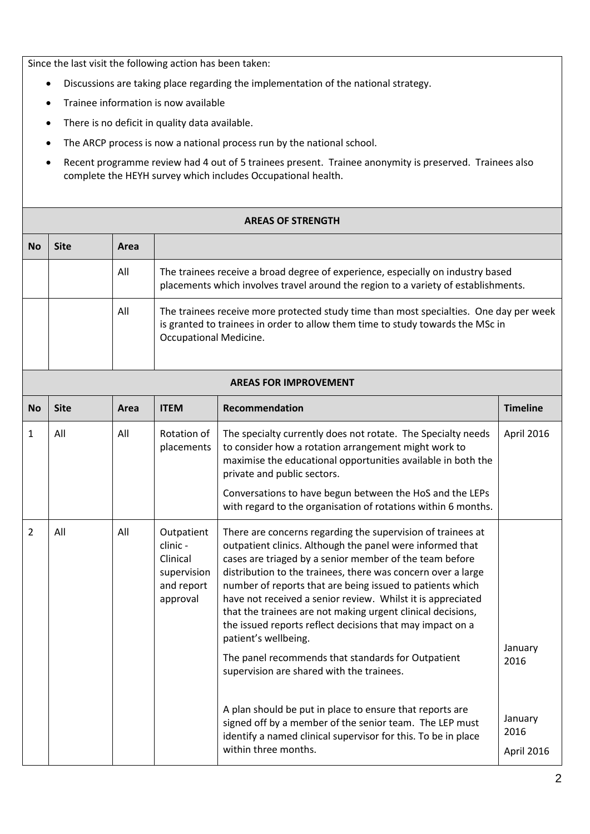Since the last visit the following action has been taken:

- Discussions are taking place regarding the implementation of the national strategy.
- Trainee information is now available
- There is no deficit in quality data available.
- The ARCP process is now a national process run by the national school.
- Recent programme review had 4 out of 5 trainees present. Trainee anonymity is preserved. Trainees also complete the HEYH survey which includes Occupational health.

|    | <b>AREAS OF STRENGTH</b> |      |                                                                                                                                                                                                    |  |
|----|--------------------------|------|----------------------------------------------------------------------------------------------------------------------------------------------------------------------------------------------------|--|
| No | Site                     | Area |                                                                                                                                                                                                    |  |
|    |                          | All  | The trainees receive a broad degree of experience, especially on industry based<br>placements which involves travel around the region to a variety of establishments.                              |  |
|    |                          | All  | The trainees receive more protected study time than most specialties. One day per week<br>is granted to trainees in order to allow them time to study towards the MSc in<br>Occupational Medicine. |  |

|  | <b>AREAS FOR IMPROVEMENT</b> |
|--|------------------------------|
|  |                              |

| <b>No</b>      | <b>Site</b> | Area | <b>ITEM</b>                                                                 | <b>Recommendation</b>                                                                                                                                                                                                                                                                                                                                                                                                                                                                                                                                                                                                                                                                                                                                                                                                                                  |                                                  |
|----------------|-------------|------|-----------------------------------------------------------------------------|--------------------------------------------------------------------------------------------------------------------------------------------------------------------------------------------------------------------------------------------------------------------------------------------------------------------------------------------------------------------------------------------------------------------------------------------------------------------------------------------------------------------------------------------------------------------------------------------------------------------------------------------------------------------------------------------------------------------------------------------------------------------------------------------------------------------------------------------------------|--------------------------------------------------|
| 1              | All         | All  | Rotation of<br>placements                                                   | The specialty currently does not rotate. The Specialty needs<br>to consider how a rotation arrangement might work to<br>maximise the educational opportunities available in both the<br>private and public sectors.<br>Conversations to have begun between the HoS and the LEPs<br>with regard to the organisation of rotations within 6 months.                                                                                                                                                                                                                                                                                                                                                                                                                                                                                                       | April 2016                                       |
| $\overline{2}$ | All         | All  | Outpatient<br>clinic -<br>Clinical<br>supervision<br>and report<br>approval | There are concerns regarding the supervision of trainees at<br>outpatient clinics. Although the panel were informed that<br>cases are triaged by a senior member of the team before<br>distribution to the trainees, there was concern over a large<br>number of reports that are being issued to patients which<br>have not received a senior review. Whilst it is appreciated<br>that the trainees are not making urgent clinical decisions,<br>the issued reports reflect decisions that may impact on a<br>patient's wellbeing.<br>The panel recommends that standards for Outpatient<br>supervision are shared with the trainees.<br>A plan should be put in place to ensure that reports are<br>signed off by a member of the senior team. The LEP must<br>identify a named clinical supervisor for this. To be in place<br>within three months. | January<br>2016<br>January<br>2016<br>April 2016 |